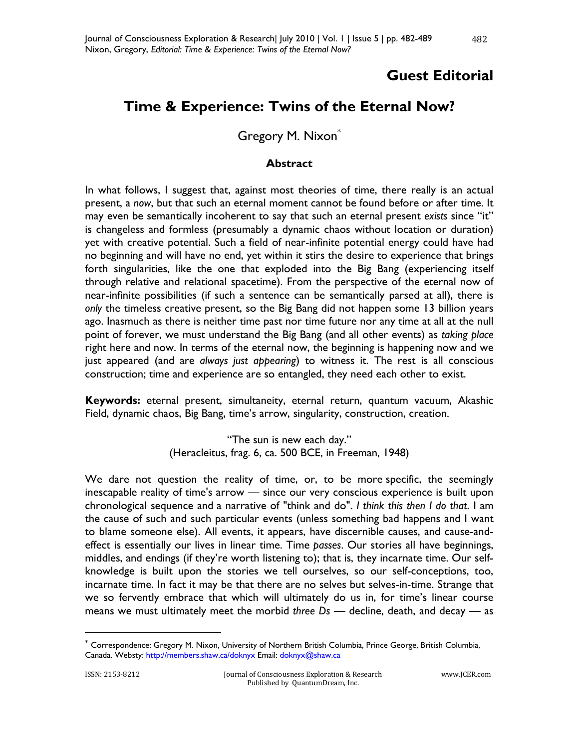## **Guest Editorial**

## **Time & Experience: Twins of the Eternal Now?**

Gregory M. Nixon\*

## **Abstract**

In what follows, I suggest that, against most theories of time, there really is an actual present, a *now*, but that such an eternal moment cannot be found before or after time. It may even be semantically incoherent to say that such an eternal present *exists* since "it" is changeless and formless (presumably a dynamic chaos without location or duration) yet with creative potential. Such a field of near-infinite potential energy could have had no beginning and will have no end, yet within it stirs the desire to experience that brings forth singularities, like the one that exploded into the Big Bang (experiencing itself through relative and relational spacetime). From the perspective of the eternal now of near-infinite possibilities (if such a sentence can be semantically parsed at all), there is *only* the timeless creative present, so the Big Bang did not happen some 13 billion years ago. Inasmuch as there is neither time past nor time future nor any time at all at the null point of forever, we must understand the Big Bang (and all other events) as *taking place* right here and now. In terms of the eternal now, the beginning is happening now and we just appeared (and are *always just appearing*) to witness it. The rest is all conscious construction; time and experience are so entangled, they need each other to exist.

**Keywords:** eternal present, simultaneity, eternal return, quantum vacuum, Akashic Field, dynamic chaos, Big Bang, time's arrow, singularity, construction, creation.

> "The sun is new each day." (Heracleitus, frag. 6, ca. 500 BCE, in Freeman, 1948)

We dare not question the reality of time, or, to be more specific, the seemingly inescapable reality of time's arrow — since our very conscious experience is built upon chronological sequence and a narrative of "think and do". *I think this then I do that*. I am the cause of such and such particular events (unless something bad happens and I want to blame someone else). All events, it appears, have discernible causes, and cause-andeffect is essentially our lives in linear time. Time *passes*. Our stories all have beginnings, middles, and endings (if they're worth listening to); that is, they incarnate time. Our selfknowledge is built upon the stories we tell ourselves, so our self-conceptions, too, incarnate time. In fact it may be that there are no selves but selves-in-time. Strange that we so fervently embrace that which will ultimately do us in, for time's linear course means we must ultimately meet the morbid *three Ds* — decline, death, and decay — as

 $\overline{a}$ 

<sup>\*</sup> Correspondence: Gregory M. Nixon, University of Northern British Columbia, Prince George, British Columbia, Canada. Websty: http://members.shaw.ca/doknyx Email: doknyx@shaw.ca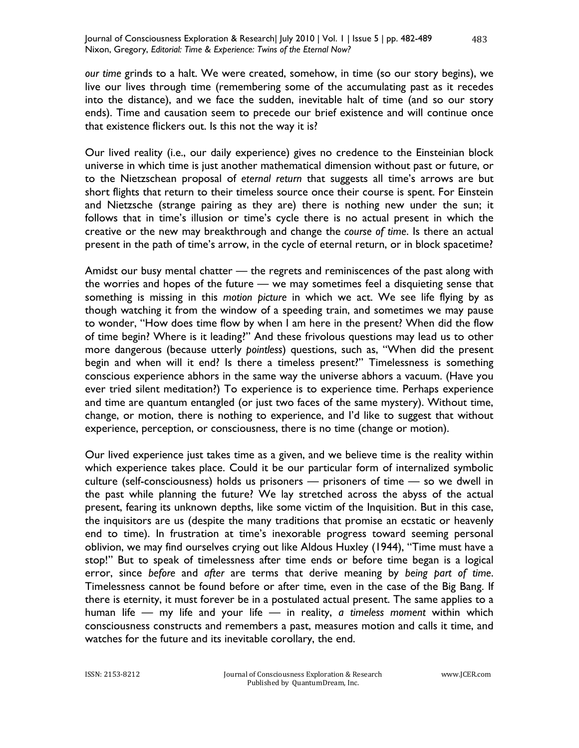Journal of Consciousness Exploration & Research| July 2010 | Vol. 1 | Issue 5 | pp. 482-489 Nixon, Gregory, *Editorial: Time & Experience: Twins of the Eternal Now?*

*our time* grinds to a halt. We were created, somehow, in time (so our story begins), we live our lives through time (remembering some of the accumulating past as it recedes into the distance), and we face the sudden, inevitable halt of time (and so our story ends). Time and causation seem to precede our brief existence and will continue once that existence flickers out. Is this not the way it is?

Our lived reality (i.e., our daily experience) gives no credence to the Einsteinian block universe in which time is just another mathematical dimension without past or future, or to the Nietzschean proposal of *eternal return* that suggests all time's arrows are but short flights that return to their timeless source once their course is spent. For Einstein and Nietzsche (strange pairing as they are) there is nothing new under the sun; it follows that in time's illusion or time's cycle there is no actual present in which the creative or the new may breakthrough and change the *course of time*. Is there an actual present in the path of time's arrow, in the cycle of eternal return, or in block spacetime?

Amidst our busy mental chatter — the regrets and reminiscences of the past along with the worries and hopes of the future — we may sometimes feel a disquieting sense that something is missing in this *motion picture* in which we act. We see life flying by as though watching it from the window of a speeding train, and sometimes we may pause to wonder, "How does time flow by when I am here in the present? When did the flow of time begin? Where is it leading?" And these frivolous questions may lead us to other more dangerous (because utterly *pointless*) questions, such as, "When did the present begin and when will it end? Is there a timeless present?" Timelessness is something conscious experience abhors in the same way the universe abhors a vacuum. (Have you ever tried silent meditation?) To experience is to experience time. Perhaps experience and time are quantum entangled (or just two faces of the same mystery). Without time, change, or motion, there is nothing to experience, and I'd like to suggest that without experience, perception, or consciousness, there is no time (change or motion).

Our lived experience just takes time as a given, and we believe time is the reality within which experience takes place. Could it be our particular form of internalized symbolic culture (self-consciousness) holds us prisoners — prisoners of time — so we dwell in the past while planning the future? We lay stretched across the abyss of the actual present, fearing its unknown depths, like some victim of the Inquisition. But in this case, the inquisitors are us (despite the many traditions that promise an ecstatic or heavenly end to time). In frustration at time's inexorable progress toward seeming personal oblivion, we may find ourselves crying out like Aldous Huxley (1944), "Time must have a stop!" But to speak of timelessness after time ends or before time began is a logical error, since *before* and *after* are terms that derive meaning by *being part of time*. Timelessness cannot be found before or after time, even in the case of the Big Bang. If there is eternity, it must forever be in a postulated actual present. The same applies to a human life — my life and your life — in reality, *a timeless moment* within which consciousness constructs and remembers a past, measures motion and calls it time, and watches for the future and its inevitable corollary, the end.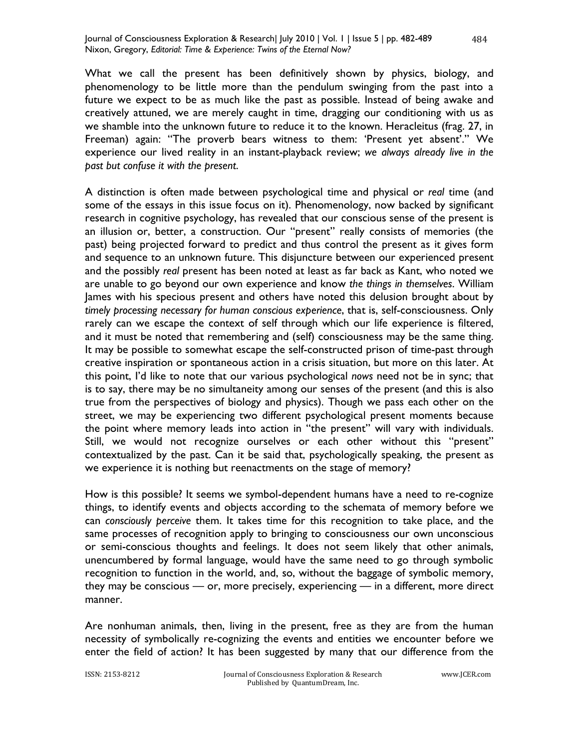What we call the present has been definitively shown by physics, biology, and phenomenology to be little more than the pendulum swinging from the past into a future we expect to be as much like the past as possible. Instead of being awake and creatively attuned, we are merely caught in time, dragging our conditioning with us as we shamble into the unknown future to reduce it to the known. Heracleitus (frag. 27, in Freeman) again: "The proverb bears witness to them: 'Present yet absent'." We experience our lived reality in an instant-playback review; *we always already live in the past but confuse it with the present*.

A distinction is often made between psychological time and physical or *real* time (and some of the essays in this issue focus on it). Phenomenology, now backed by significant research in cognitive psychology, has revealed that our conscious sense of the present is an illusion or, better, a construction. Our "present" really consists of memories (the past) being projected forward to predict and thus control the present as it gives form and sequence to an unknown future. This disjuncture between our experienced present and the possibly *real* present has been noted at least as far back as Kant, who noted we are unable to go beyond our own experience and know *the things in themselves*. William James with his specious present and others have noted this delusion brought about by *timely processing necessary for human conscious experience*, that is, self-consciousness. Only rarely can we escape the context of self through which our life experience is filtered, and it must be noted that remembering and (self) consciousness may be the same thing. It may be possible to somewhat escape the self-constructed prison of time-past through creative inspiration or spontaneous action in a crisis situation, but more on this later. At this point, I'd like to note that our various psychological *nows* need not be in sync; that is to say, there may be no simultaneity among our senses of the present (and this is also true from the perspectives of biology and physics). Though we pass each other on the street, we may be experiencing two different psychological present moments because the point where memory leads into action in "the present" will vary with individuals. Still, we would not recognize ourselves or each other without this "present" contextualized by the past. Can it be said that, psychologically speaking, the present as we experience it is nothing but reenactments on the stage of memory?

How is this possible? It seems we symbol-dependent humans have a need to re-cognize things, to identify events and objects according to the schemata of memory before we can *consciously perceive* them. It takes time for this recognition to take place, and the same processes of recognition apply to bringing to consciousness our own unconscious or semi-conscious thoughts and feelings. It does not seem likely that other animals, unencumbered by formal language, would have the same need to go through symbolic recognition to function in the world, and, so, without the baggage of symbolic memory, they may be conscious — or, more precisely, experiencing — in a different, more direct manner.

Are nonhuman animals, then, living in the present, free as they are from the human necessity of symbolically re-cognizing the events and entities we encounter before we enter the field of action? It has been suggested by many that our difference from the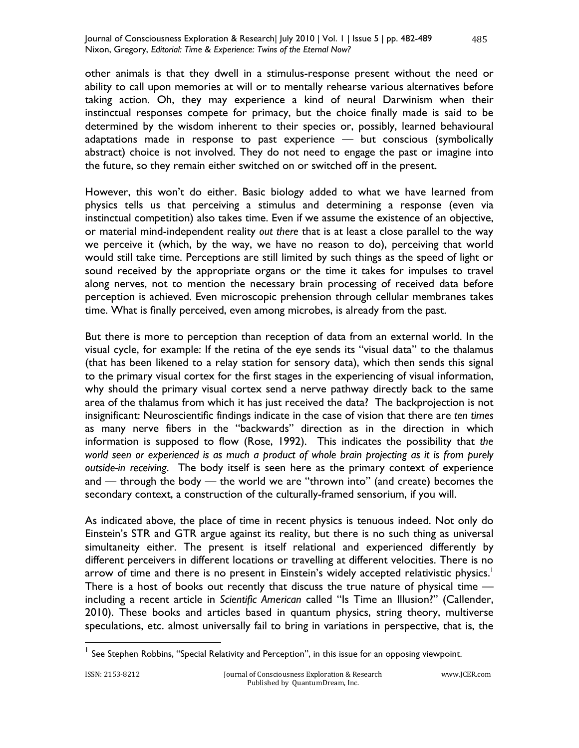other animals is that they dwell in a stimulus-response present without the need or ability to call upon memories at will or to mentally rehearse various alternatives before taking action. Oh, they may experience a kind of neural Darwinism when their instinctual responses compete for primacy, but the choice finally made is said to be determined by the wisdom inherent to their species or, possibly, learned behavioural adaptations made in response to past experience — but conscious (symbolically abstract) choice is not involved. They do not need to engage the past or imagine into the future, so they remain either switched on or switched off in the present.

However, this won't do either. Basic biology added to what we have learned from physics tells us that perceiving a stimulus and determining a response (even via instinctual competition) also takes time. Even if we assume the existence of an objective, or material mind-independent reality *out there* that is at least a close parallel to the way we perceive it (which, by the way, we have no reason to do), perceiving that world would still take time. Perceptions are still limited by such things as the speed of light or sound received by the appropriate organs or the time it takes for impulses to travel along nerves, not to mention the necessary brain processing of received data before perception is achieved. Even microscopic prehension through cellular membranes takes time. What is finally perceived, even among microbes, is already from the past.

But there is more to perception than reception of data from an external world. In the visual cycle, for example: If the retina of the eye sends its "visual data" to the thalamus (that has been likened to a relay station for sensory data), which then sends this signal to the primary visual cortex for the first stages in the experiencing of visual information, why should the primary visual cortex send a nerve pathway directly back to the same area of the thalamus from which it has just received the data? The backprojection is not insignificant: Neuroscientific findings indicate in the case of vision that there are *ten times* as many nerve fibers in the "backwards" direction as in the direction in which information is supposed to flow (Rose, 1992). This indicates the possibility that *the world seen or experienced is as much a product of whole brain projecting as it is from purely outside-in receiving*. The body itself is seen here as the primary context of experience and — through the body — the world we are "thrown into" (and create) becomes the secondary context, a construction of the culturally-framed sensorium, if you will.

As indicated above, the place of time in recent physics is tenuous indeed. Not only do Einstein's STR and GTR argue against its reality, but there is no such thing as universal simultaneity either. The present is itself relational and experienced differently by different perceivers in different locations or travelling at different velocities. There is no arrow of time and there is no present in Einstein's widely accepted relativistic physics.<sup>1</sup> There is a host of books out recently that discuss the true nature of physical time including a recent article in *Scientific American* called "Is Time an Illusion?" (Callender, 2010). These books and articles based in quantum physics, string theory, multiverse speculations, etc. almost universally fail to bring in variations in perspective, that is, the

 $\overline{\phantom{a}}$ 

<sup>&</sup>lt;sup>1</sup> See Stephen Robbins, "Special Relativity and Perception", in this issue for an opposing viewpoint.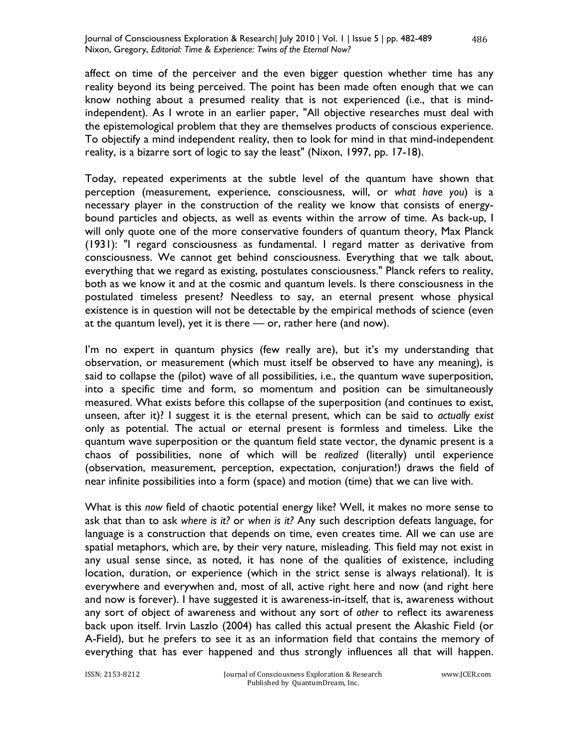affect on time of the perceiver and the even bigger question whether time has any reality beyond its being perceived. The point has been made often enough that we can know nothing about a presumed reality that is not experienced (i.e., that is mindindependent). As I wrote in an earlier paper, "All objective researches must deal with the epistemological problem that they are themselves products of conscious experience. To objectify a mind independent reality, then to look for mind in that mind-independent reality, is a bizarre sort of logic to say the least" (Nixon, 1997, pp. 17-18).

Today, repeated experiments at the subtle level of the quantum have shown that perception (measurement, experience, consciousness, will, or *what have you*) is a necessary player in the construction of the reality we know that consists of energybound particles and objects, as well as events within the arrow of time. As back-up, I will only quote one of the more conservative founders of quantum theory, Max Planck (1931): "I regard consciousness as fundamental. I regard matter as derivative from consciousness. We cannot get behind consciousness. Everything that we talk about, everything that we regard as existing, postulates consciousness." Planck refers to reality, both as we know it and at the cosmic and quantum levels. Is there consciousness in the postulated timeless present? Needless to say, an eternal present whose physical existence is in question will not be detectable by the empirical methods of science (even at the quantum level), yet it is there — or, rather here (and now).

I'm no expert in quantum physics (few really are), but it's my understanding that observation, or measurement (which must itself be observed to have any meaning), is said to collapse the (pilot) wave of all possibilities, i.e., the quantum wave superposition, into a specific time and form, so momentum and position can be simultaneously measured. What exists before this collapse of the superposition (and continues to exist, unseen, after it)? I suggest it is the eternal present, which can be said to *actually exist* only as potential. The actual or eternal present is formless and timeless. Like the quantum wave superposition or the quantum field state vector, the dynamic present is a chaos of possibilities, none of which will be *realized* (literally) until experience (observation, measurement, perception, expectation, conjuration!) draws the field of near infinite possibilities into a form (space) and motion (time) that we can live with.

What is this *now* field of chaotic potential energy like? Well, it makes no more sense to ask that than to ask *where is it?* or *when is it?* Any such description defeats language, for language is a construction that depends on time, even creates time. All we can use are spatial metaphors, which are, by their very nature, misleading. This field may not exist in any usual sense since, as noted, it has none of the qualities of existence, including location, duration, or experience (which in the strict sense is always relational). It is everywhere and everywhen and, most of all, active right here and now (and right here and now is forever). I have suggested it is awareness-in-itself, that is, awareness without any sort of object of awareness and without any sort of *other* to reflect its awareness back upon itself. Irvin Laszlo (2004) has called this actual present the Akashic Field (or A-Field), but he prefers to see it as an information field that contains the memory of everything that has ever happened and thus strongly influences all that will happen.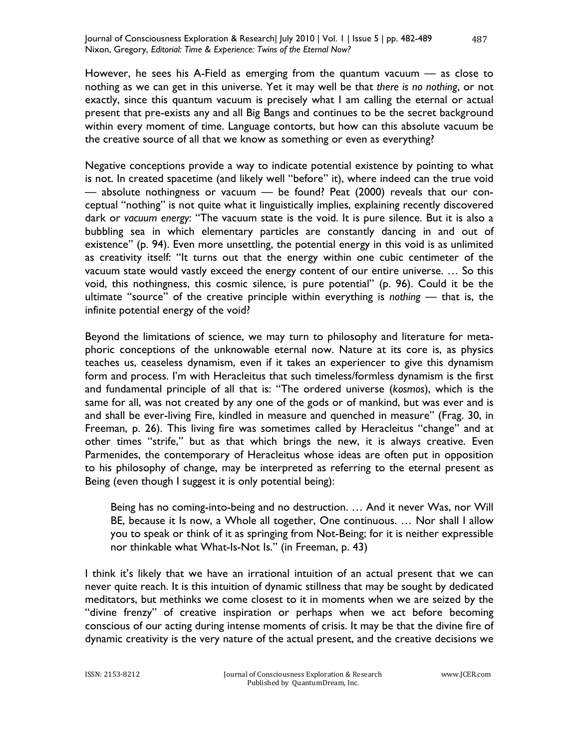However, he sees his A-Field as emerging from the quantum vacuum — as close to nothing as we can get in this universe. Yet it may well be that *there is no nothing*, or not exactly, since this quantum vacuum is precisely what I am calling the eternal or actual present that pre-exists any and all Big Bangs and continues to be the secret background within every moment of time. Language contorts, but how can this absolute vacuum be the creative source of all that we know as something or even as everything?

Negative conceptions provide a way to indicate potential existence by pointing to what is not. In created spacetime (and likely well "before" it), where indeed can the true void — absolute nothingness or vacuum — be found? Peat (2000) reveals that our conceptual "nothing" is not quite what it linguistically implies, explaining recently discovered dark or *vacuum energy*: "The vacuum state is the void. It is pure silence. But it is also a bubbling sea in which elementary particles are constantly dancing in and out of existence" (p. 94). Even more unsettling, the potential energy in this void is as unlimited as creativity itself: "It turns out that the energy within one cubic centimeter of the vacuum state would vastly exceed the energy content of our entire universe. … So this void, this nothingness, this cosmic silence, is pure potential" (p. 96). Could it be the ultimate "source" of the creative principle within everything is *nothing* — that is, the infinite potential energy of the void?

Beyond the limitations of science, we may turn to philosophy and literature for metaphoric conceptions of the unknowable eternal now. Nature at its core is, as physics teaches us, ceaseless dynamism, even if it takes an experiencer to give this dynamism form and process. I'm with Heracleitus that such timeless/formless dynamism is the first and fundamental principle of all that is: "The ordered universe (*kosmos*), which is the same for all, was not created by any one of the gods or of mankind, but was ever and is and shall be ever-living Fire, kindled in measure and quenched in measure" (Frag. 30, in Freeman, p. 26). This living fire was sometimes called by Heracleitus "change" and at other times "strife," but as that which brings the new, it is always creative. Even Parmenides, the contemporary of Heracleitus whose ideas are often put in opposition to his philosophy of change, may be interpreted as referring to the eternal present as Being (even though I suggest it is only potential being):

Being has no coming-into-being and no destruction. … And it never Was, nor Will BE, because it Is now, a Whole all together, One continuous. … Nor shall I allow you to speak or think of it as springing from Not-Being; for it is neither expressible nor thinkable what What-Is-Not Is." (in Freeman, p. 43)

I think it's likely that we have an irrational intuition of an actual present that we can never quite reach. It is this intuition of dynamic stillness that may be sought by dedicated meditators, but methinks we come closest to it in moments when we are seized by the "divine frenzy" of creative inspiration or perhaps when we act before becoming conscious of our acting during intense moments of crisis. It may be that the divine fire of dynamic creativity is the very nature of the actual present, and the creative decisions we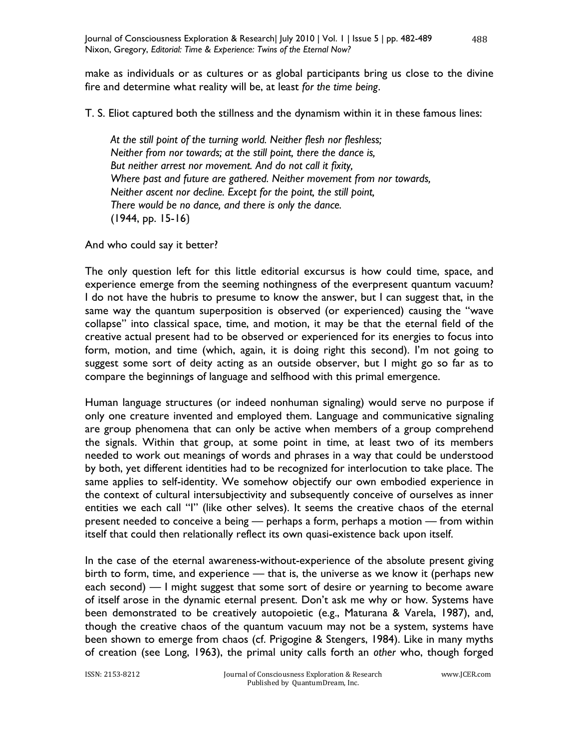make as individuals or as cultures or as global participants bring us close to the divine fire and determine what reality will be, at least *for the time being*.

T. S. Eliot captured both the stillness and the dynamism within it in these famous lines:

*At the still point of the turning world. Neither flesh nor fleshless; Neither from nor towards; at the still point, there the dance is, But neither arrest nor movement. And do not call it fixity, Where past and future are gathered. Neither movement from nor towards, Neither ascent nor decline. Except for the point, the still point, There would be no dance, and there is only the dance.*  (1944, pp. 15-16)

And who could say it better?

The only question left for this little editorial excursus is how could time, space, and experience emerge from the seeming nothingness of the everpresent quantum vacuum? I do not have the hubris to presume to know the answer, but I can suggest that, in the same way the quantum superposition is observed (or experienced) causing the "wave collapse" into classical space, time, and motion, it may be that the eternal field of the creative actual present had to be observed or experienced for its energies to focus into form, motion, and time (which, again, it is doing right this second). I'm not going to suggest some sort of deity acting as an outside observer, but I might go so far as to compare the beginnings of language and selfhood with this primal emergence.

Human language structures (or indeed nonhuman signaling) would serve no purpose if only one creature invented and employed them. Language and communicative signaling are group phenomena that can only be active when members of a group comprehend the signals. Within that group, at some point in time, at least two of its members needed to work out meanings of words and phrases in a way that could be understood by both, yet different identities had to be recognized for interlocution to take place. The same applies to self-identity. We somehow objectify our own embodied experience in the context of cultural intersubjectivity and subsequently conceive of ourselves as inner entities we each call "I" (like other selves). It seems the creative chaos of the eternal present needed to conceive a being — perhaps a form, perhaps a motion — from within itself that could then relationally reflect its own quasi-existence back upon itself.

In the case of the eternal awareness-without-experience of the absolute present giving birth to form, time, and experience — that is, the universe as we know it (perhaps new each second) — I might suggest that some sort of desire or yearning to become aware of itself arose in the dynamic eternal present. Don't ask me why or how. Systems have been demonstrated to be creatively autopoietic (e.g., Maturana & Varela, 1987), and, though the creative chaos of the quantum vacuum may not be a system, systems have been shown to emerge from chaos (cf. Prigogine & Stengers, 1984). Like in many myths of creation (see Long, 1963), the primal unity calls forth an *other* who, though forged

488